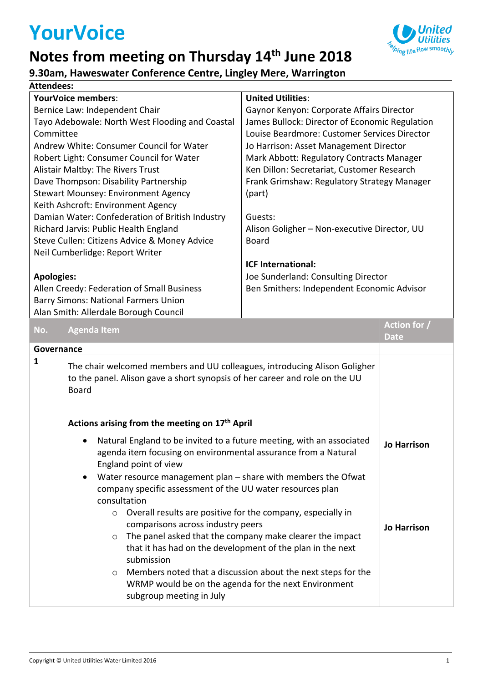# **YourVoice**



### **Notes from meeting on Thursday 14 th June 2018**

#### **9.30am, Haweswater Conference Centre, Lingley Mere, Warrington**

|--|

Committee

**Apologies:**

**YourVoice members**: Bernice Law: Independent Chair Tayo Adebowale: North West Flooding and Coastal Andrew White: Consumer Council for Water Robert Light: Consumer Council for Water Alistair Maltby: The Rivers Trust Dave Thompson: Disability Partnership Stewart Mounsey: Environment Agency Keith Ashcroft: Environment Agency Damian Water: Confederation of British Industry Richard Jarvis: Public Health England Steve Cullen: Citizens Advice & Money Advice Neil Cumberlidge: Report Writer Gaynor Kenyon: Corporate Affairs Director James Bullock: Director of Economic Regulation Louise Beardmore: Customer Services Director Jo Harrison: Asset Management Director Mark Abbott: Regulatory Contracts Manager Ken Dillon: Secretariat, Customer Research Frank Grimshaw: Regulatory Strategy Manager (part) Guests: Alison Goligher – Non-executive Director, UU Board **ICF International:** Joe Sunderland: Consulting Director Ben Smithers: Independent Economic Advisor

Allen Creedy: Federation of Small Business Barry Simons: National Farmers Union Alan Smith: Allerdale Borough Council

#### **No. Agenda Item Action for** *J* **Action for** *J* **<b>Action for** *J* **Action for** *J* **Date Governance 1** The chair welcomed members and UU colleagues, introducing Alison Goligher to the panel. Alison gave a short synopsis of her career and role on the UU Board **Actions arising from the meeting on 17th April** Natural England to be invited to a future meeting, with an associated agenda item focusing on environmental assurance from a Natural England point of view Water resource management plan – share with members the Ofwat company specific assessment of the UU water resources plan consultation o Overall results are positive for the company, especially in comparisons across industry peers o The panel asked that the company make clearer the impact that it has had on the development of the plan in the next submission o Members noted that a discussion about the next steps for the WRMP would be on the agenda for the next Environment subgroup meeting in July **Jo Harrison Jo Harrison**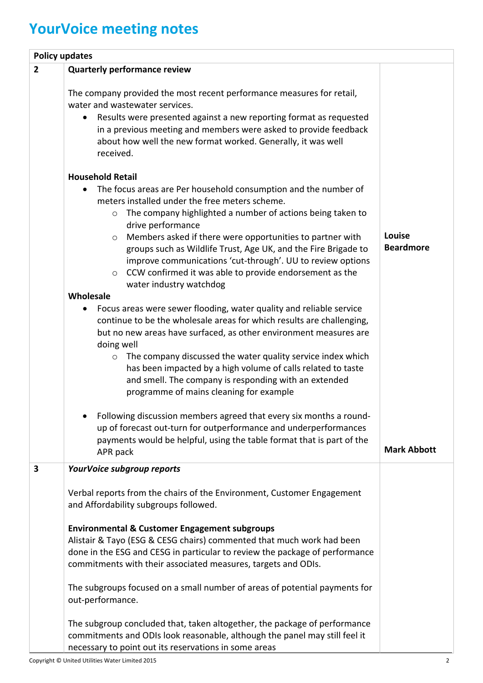## **YourVoice meeting notes**

| <b>Policy updates</b> |                                                                                                                                                                                                                                                                                                                                                                                                                                                                                                                                                                                                                                                                                                                               |                            |  |  |
|-----------------------|-------------------------------------------------------------------------------------------------------------------------------------------------------------------------------------------------------------------------------------------------------------------------------------------------------------------------------------------------------------------------------------------------------------------------------------------------------------------------------------------------------------------------------------------------------------------------------------------------------------------------------------------------------------------------------------------------------------------------------|----------------------------|--|--|
| $\overline{2}$        | <b>Quarterly performance review</b>                                                                                                                                                                                                                                                                                                                                                                                                                                                                                                                                                                                                                                                                                           |                            |  |  |
|                       | The company provided the most recent performance measures for retail,<br>water and wastewater services.<br>Results were presented against a new reporting format as requested<br>$\bullet$<br>in a previous meeting and members were asked to provide feedback<br>about how well the new format worked. Generally, it was well<br>received.                                                                                                                                                                                                                                                                                                                                                                                   |                            |  |  |
|                       |                                                                                                                                                                                                                                                                                                                                                                                                                                                                                                                                                                                                                                                                                                                               |                            |  |  |
|                       | <b>Household Retail</b><br>The focus areas are Per household consumption and the number of<br>meters installed under the free meters scheme.<br>The company highlighted a number of actions being taken to<br>$\circ$<br>drive performance<br>Members asked if there were opportunities to partner with<br>$\circ$<br>groups such as Wildlife Trust, Age UK, and the Fire Brigade to<br>improve communications 'cut-through'. UU to review options<br>CCW confirmed it was able to provide endorsement as the<br>$\circ$<br>water industry watchdog<br>Wholesale<br>Focus areas were sewer flooding, water quality and reliable service<br>$\bullet$<br>continue to be the wholesale areas for which results are challenging, | Louise<br><b>Beardmore</b> |  |  |
|                       | but no new areas have surfaced, as other environment measures are<br>doing well<br>The company discussed the water quality service index which<br>$\circ$<br>has been impacted by a high volume of calls related to taste<br>and smell. The company is responding with an extended<br>programme of mains cleaning for example<br>Following discussion members agreed that every six months a round-<br>up of forecast out-turn for outperformance and underperformances<br>payments would be helpful, using the table format that is part of the<br>APR pack                                                                                                                                                                  | <b>Mark Abbott</b>         |  |  |
| 3                     | YourVoice subgroup reports                                                                                                                                                                                                                                                                                                                                                                                                                                                                                                                                                                                                                                                                                                    |                            |  |  |
|                       | Verbal reports from the chairs of the Environment, Customer Engagement<br>and Affordability subgroups followed.<br><b>Environmental &amp; Customer Engagement subgroups</b><br>Alistair & Tayo (ESG & CESG chairs) commented that much work had been<br>done in the ESG and CESG in particular to review the package of performance                                                                                                                                                                                                                                                                                                                                                                                           |                            |  |  |
|                       | commitments with their associated measures, targets and ODIs.<br>The subgroups focused on a small number of areas of potential payments for<br>out-performance.                                                                                                                                                                                                                                                                                                                                                                                                                                                                                                                                                               |                            |  |  |
|                       | The subgroup concluded that, taken altogether, the package of performance<br>commitments and ODIs look reasonable, although the panel may still feel it<br>necessary to point out its reservations in some areas                                                                                                                                                                                                                                                                                                                                                                                                                                                                                                              |                            |  |  |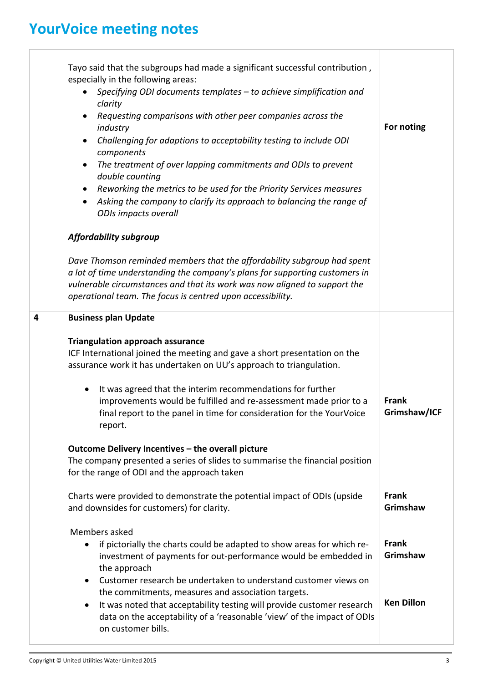## **YourVoice meeting notes**

|   | Tayo said that the subgroups had made a significant successful contribution,<br>especially in the following areas:<br>Specifying ODI documents templates - to achieve simplification and<br>clarity<br>Requesting comparisons with other peer companies across the<br>industry<br>Challenging for adaptions to acceptability testing to include ODI<br>components<br>The treatment of over lapping commitments and ODIs to prevent<br>$\bullet$<br>double counting<br>Reworking the metrics to be used for the Priority Services measures<br>Asking the company to clarify its approach to balancing the range of<br>$\bullet$<br>ODIs impacts overall<br><b>Affordability subgroup</b><br>Dave Thomson reminded members that the affordability subgroup had spent<br>a lot of time understanding the company's plans for supporting customers in<br>vulnerable circumstances and that its work was now aligned to support the<br>operational team. The focus is centred upon accessibility. | For noting                                               |
|---|----------------------------------------------------------------------------------------------------------------------------------------------------------------------------------------------------------------------------------------------------------------------------------------------------------------------------------------------------------------------------------------------------------------------------------------------------------------------------------------------------------------------------------------------------------------------------------------------------------------------------------------------------------------------------------------------------------------------------------------------------------------------------------------------------------------------------------------------------------------------------------------------------------------------------------------------------------------------------------------------|----------------------------------------------------------|
| 4 | <b>Business plan Update</b><br><b>Triangulation approach assurance</b><br>ICF International joined the meeting and gave a short presentation on the<br>assurance work it has undertaken on UU's approach to triangulation.<br>It was agreed that the interim recommendations for further<br>$\bullet$<br>improvements would be fulfilled and re-assessment made prior to a<br>final report to the panel in time for consideration for the YourVoice<br>report.<br>Outcome Delivery Incentives - the overall picture<br>The company presented a series of slides to summarise the financial position<br>for the range of ODI and the approach taken<br>Charts were provided to demonstrate the potential impact of ODIs (upside<br>and downsides for customers) for clarity.                                                                                                                                                                                                                  | <b>Frank</b><br>Grimshaw/ICF<br><b>Frank</b><br>Grimshaw |
|   | Members asked<br>if pictorially the charts could be adapted to show areas for which re-<br>investment of payments for out-performance would be embedded in<br>the approach<br>Customer research be undertaken to understand customer views on<br>$\bullet$<br>the commitments, measures and association targets.<br>It was noted that acceptability testing will provide customer research<br>$\bullet$<br>data on the acceptability of a 'reasonable 'view' of the impact of ODIs<br>on customer bills.                                                                                                                                                                                                                                                                                                                                                                                                                                                                                     | <b>Frank</b><br>Grimshaw<br><b>Ken Dillon</b>            |